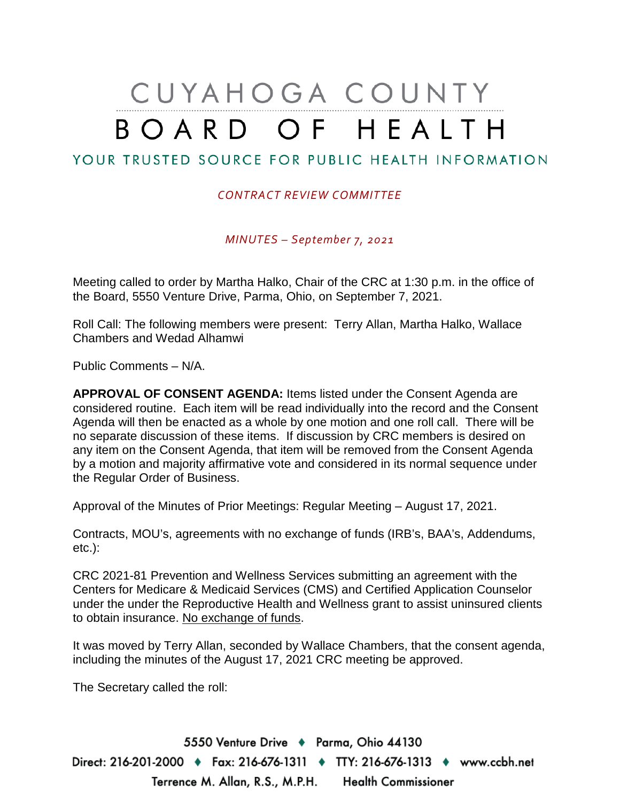# CUYAHOGA COUNTY BOARD OF HEALTH

### YOUR TRUSTED SOURCE FOR PUBLIC HEALTH INFORMATION

#### *CONTRACT REVIEW COMMITTEE*

*MINUTES – September 7, 2021*

Meeting called to order by Martha Halko, Chair of the CRC at 1:30 p.m. in the office of the Board, 5550 Venture Drive, Parma, Ohio, on September 7, 2021.

Roll Call: The following members were present: Terry Allan, Martha Halko, Wallace Chambers and Wedad Alhamwi

Public Comments – N/A.

**APPROVAL OF CONSENT AGENDA:** Items listed under the Consent Agenda are considered routine. Each item will be read individually into the record and the Consent Agenda will then be enacted as a whole by one motion and one roll call. There will be no separate discussion of these items. If discussion by CRC members is desired on any item on the Consent Agenda, that item will be removed from the Consent Agenda by a motion and majority affirmative vote and considered in its normal sequence under the Regular Order of Business.

Approval of the Minutes of Prior Meetings: Regular Meeting – August 17, 2021.

Contracts, MOU's, agreements with no exchange of funds (IRB's, BAA's, Addendums, etc.):

CRC 2021-81 Prevention and Wellness Services submitting an agreement with the Centers for Medicare & Medicaid Services (CMS) and Certified Application Counselor under the under the Reproductive Health and Wellness grant to assist uninsured clients to obtain insurance. No exchange of funds.

It was moved by Terry Allan, seconded by Wallace Chambers, that the consent agenda, including the minutes of the August 17, 2021 CRC meeting be approved.

The Secretary called the roll:

5550 Venture Drive + Parma, Ohio 44130 Direct: 216-201-2000 ♦ Fax: 216-676-1311 ♦ TTY: 216-676-1313 ♦ www.ccbh.net Terrence M. Allan, R.S., M.P.H. Health Commissioner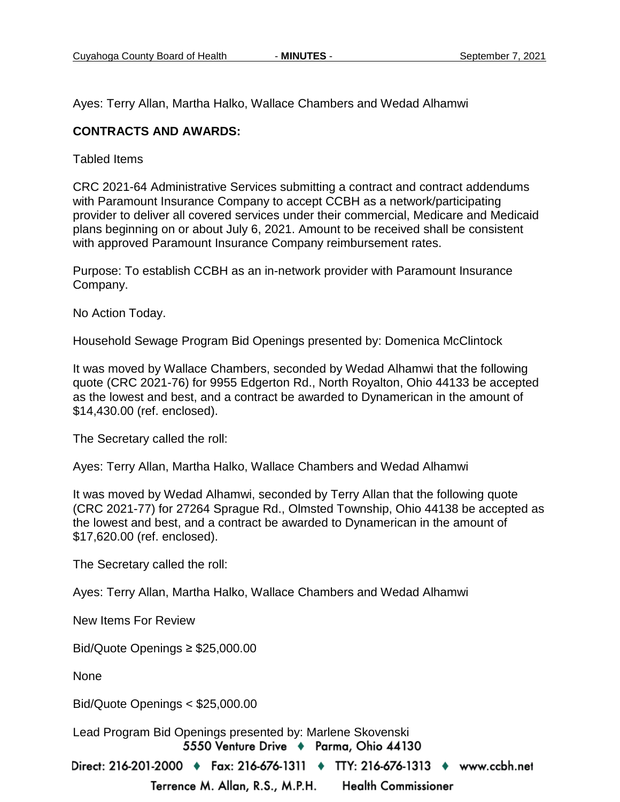Ayes: Terry Allan, Martha Halko, Wallace Chambers and Wedad Alhamwi

#### **CONTRACTS AND AWARDS:**

Tabled Items

CRC 2021-64 Administrative Services submitting a contract and contract addendums with Paramount Insurance Company to accept CCBH as a network/participating provider to deliver all covered services under their commercial, Medicare and Medicaid plans beginning on or about July 6, 2021. Amount to be received shall be consistent with approved Paramount Insurance Company reimbursement rates.

Purpose: To establish CCBH as an in-network provider with Paramount Insurance Company.

No Action Today.

Household Sewage Program Bid Openings presented by: Domenica McClintock

It was moved by Wallace Chambers, seconded by Wedad Alhamwi that the following quote (CRC 2021-76) for 9955 Edgerton Rd., North Royalton, Ohio 44133 be accepted as the lowest and best, and a contract be awarded to Dynamerican in the amount of \$14,430.00 (ref. enclosed).

The Secretary called the roll:

Ayes: Terry Allan, Martha Halko, Wallace Chambers and Wedad Alhamwi

It was moved by Wedad Alhamwi, seconded by Terry Allan that the following quote (CRC 2021-77) for 27264 Sprague Rd., Olmsted Township, Ohio 44138 be accepted as the lowest and best, and a contract be awarded to Dynamerican in the amount of \$17,620.00 (ref. enclosed).

The Secretary called the roll:

Ayes: Terry Allan, Martha Halko, Wallace Chambers and Wedad Alhamwi

New Items For Review

Bid/Quote Openings ≥ \$25,000.00

None

Bid/Quote Openings < \$25,000.00

Lead Program Bid Openings presented by: Marlene Skovenski5550 Venture Drive + Parma, Ohio 44130

Direct: 216-201-2000 ♦ Fax: 216-676-1311 ♦ TTY: 216-676-1313 ♦ www.ccbh.net

Terrence M. Allan, R.S., M.P.H. **Health Commissioner**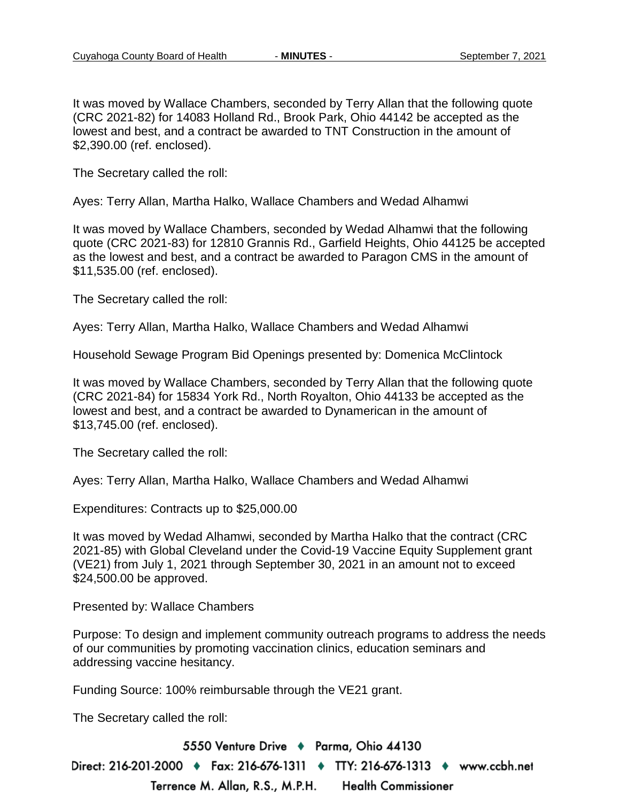It was moved by Wallace Chambers, seconded by Terry Allan that the following quote (CRC 2021-82) for 14083 Holland Rd., Brook Park, Ohio 44142 be accepted as the lowest and best, and a contract be awarded to TNT Construction in the amount of \$2,390.00 (ref. enclosed).

The Secretary called the roll:

Ayes: Terry Allan, Martha Halko, Wallace Chambers and Wedad Alhamwi

It was moved by Wallace Chambers, seconded by Wedad Alhamwi that the following quote (CRC 2021-83) for 12810 Grannis Rd., Garfield Heights, Ohio 44125 be accepted as the lowest and best, and a contract be awarded to Paragon CMS in the amount of \$11,535.00 (ref. enclosed).

The Secretary called the roll:

Ayes: Terry Allan, Martha Halko, Wallace Chambers and Wedad Alhamwi

Household Sewage Program Bid Openings presented by: Domenica McClintock

It was moved by Wallace Chambers, seconded by Terry Allan that the following quote (CRC 2021-84) for 15834 York Rd., North Royalton, Ohio 44133 be accepted as the lowest and best, and a contract be awarded to Dynamerican in the amount of \$13,745.00 (ref. enclosed).

The Secretary called the roll:

Ayes: Terry Allan, Martha Halko, Wallace Chambers and Wedad Alhamwi

Expenditures: Contracts up to \$25,000.00

It was moved by Wedad Alhamwi, seconded by Martha Halko that the contract (CRC 2021-85) with Global Cleveland under the Covid-19 Vaccine Equity Supplement grant (VE21) from July 1, 2021 through September 30, 2021 in an amount not to exceed \$24,500.00 be approved.

Presented by: Wallace Chambers

Purpose: To design and implement community outreach programs to address the needs of our communities by promoting vaccination clinics, education seminars and addressing vaccine hesitancy.

Funding Source: 100% reimbursable through the VE21 grant.

The Secretary called the roll:

5550 Venture Drive + Parma, Ohio 44130 Direct: 216-201-2000 ♦ Fax: 216-676-1311 ♦ TTY: 216-676-1313 ♦ www.ccbh.net Terrence M. Allan, R.S., M.P.H. **Health Commissioner**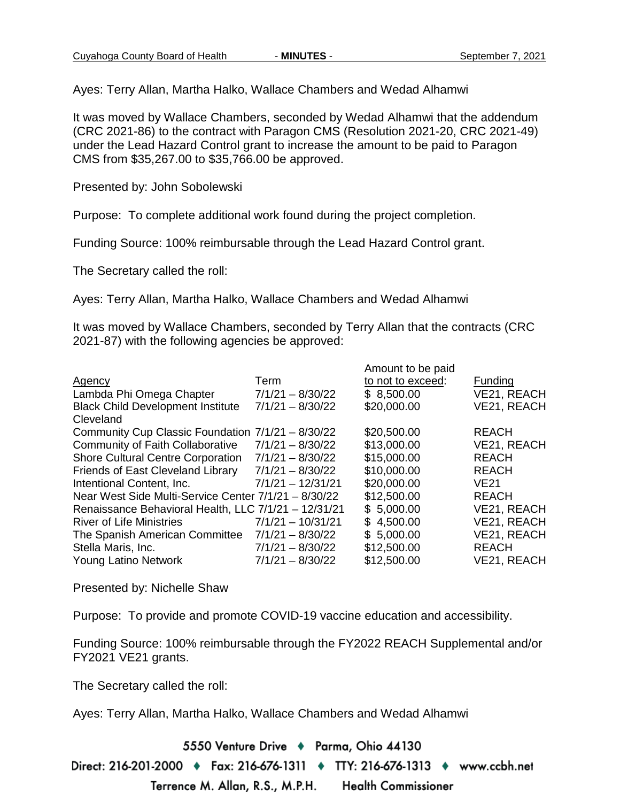Ayes: Terry Allan, Martha Halko, Wallace Chambers and Wedad Alhamwi

It was moved by Wallace Chambers, seconded by Wedad Alhamwi that the addendum (CRC 2021-86) to the contract with Paragon CMS (Resolution 2021-20, CRC 2021-49) under the Lead Hazard Control grant to increase the amount to be paid to Paragon CMS from \$35,267.00 to \$35,766.00 be approved.

Presented by: John Sobolewski

Purpose: To complete additional work found during the project completion.

Funding Source: 100% reimbursable through the Lead Hazard Control grant.

The Secretary called the roll:

Ayes: Terry Allan, Martha Halko, Wallace Chambers and Wedad Alhamwi

It was moved by Wallace Chambers, seconded by Terry Allan that the contracts (CRC 2021-87) with the following agencies be approved:

|                                                      |                     | Amount to be paid |              |
|------------------------------------------------------|---------------------|-------------------|--------------|
| Agency                                               | Term                | to not to exceed: | Funding      |
| Lambda Phi Omega Chapter                             | $7/1/21 - 8/30/22$  | \$8,500.00        | VE21, REACH  |
| <b>Black Child Development Institute</b>             | $7/1/21 - 8/30/22$  | \$20,000.00       | VE21, REACH  |
| Cleveland                                            |                     |                   |              |
| Community Cup Classic Foundation 7/1/21 - 8/30/22    |                     | \$20,500.00       | <b>REACH</b> |
| <b>Community of Faith Collaborative</b>              | $7/1/21 - 8/30/22$  | \$13,000.00       | VE21, REACH  |
| <b>Shore Cultural Centre Corporation</b>             | $7/1/21 - 8/30/22$  | \$15,000.00       | <b>REACH</b> |
| Friends of East Cleveland Library                    | $7/1/21 - 8/30/22$  | \$10,000.00       | <b>REACH</b> |
| Intentional Content, Inc.                            | $7/1/21 - 12/31/21$ | \$20,000.00       | <b>VE21</b>  |
| Near West Side Multi-Service Center 7/1/21 - 8/30/22 |                     | \$12,500.00       | <b>REACH</b> |
| Renaissance Behavioral Health, LLC 7/1/21 - 12/31/21 |                     | \$5,000.00        | VE21, REACH  |
| <b>River of Life Ministries</b>                      | $7/1/21 - 10/31/21$ | \$4,500.00        | VE21, REACH  |
| The Spanish American Committee                       | $7/1/21 - 8/30/22$  | \$5,000.00        | VE21, REACH  |
| Stella Maris, Inc.                                   | $7/1/21 - 8/30/22$  | \$12,500.00       | <b>REACH</b> |
| <b>Young Latino Network</b>                          | $7/1/21 - 8/30/22$  | \$12,500.00       | VE21, REACH  |

Presented by: Nichelle Shaw

Purpose: To provide and promote COVID-19 vaccine education and accessibility.

Funding Source: 100% reimbursable through the FY2022 REACH Supplemental and/or FY2021 VE21 grants.

The Secretary called the roll:

Ayes: Terry Allan, Martha Halko, Wallace Chambers and Wedad Alhamwi

5550 Venture Drive + Parma, Ohio 44130

Direct: 216-201-2000 ♦ Fax: 216-676-1311 ♦ TTY: 216-676-1313 ♦ www.ccbh.net

Terrence M. Allan, R.S., M.P.H. **Health Commissioner**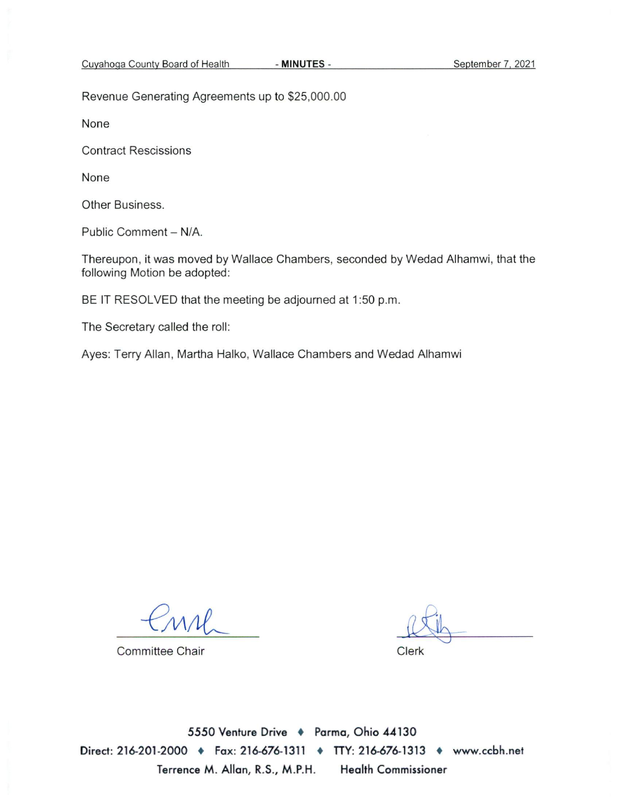Revenue Generating Agreements up to \$25,000.00

None

**Contract Rescissions** 

None

Other Business.

Public Comment - N/A.

Thereupon, it was moved by Wallace Chambers, seconded by Wedad Alhamwi, that the following Motion be adopted:

BE IT RESOLVED that the meeting be adjourned at 1:50 p.m.

The Secretary called the roll:

Ayes: Terry Allan, Martha Halko, Wallace Chambers and Wedad Alhamwi

**Committee Chair** 

Clerk

5550 Venture Drive + Parma, Ohio 44130 Direct: 216-201-2000 • Fax: 216-676-1311 • TTY: 216-676-1313 • www.ccbh.net Terrence M. Allan, R.S., M.P.H. **Health Commissioner**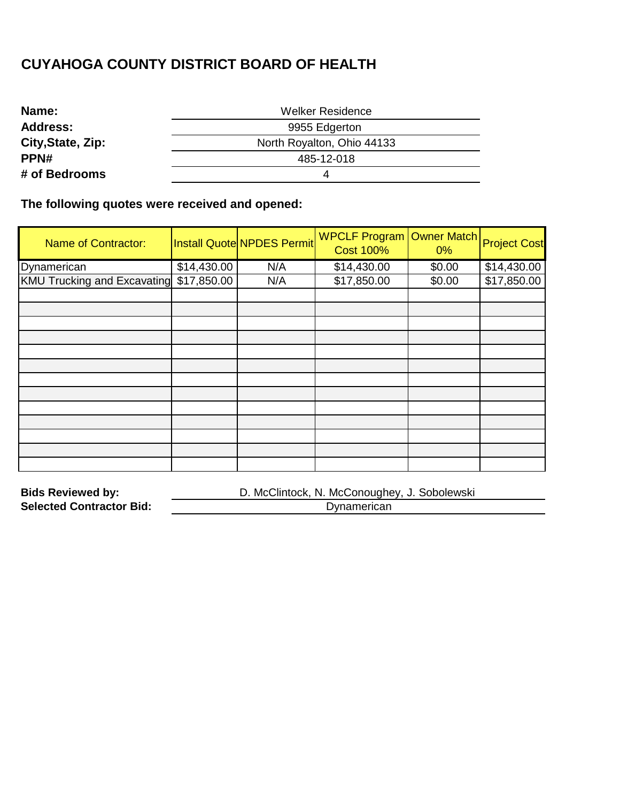| Name:             | <b>Welker Residence</b>    |  |
|-------------------|----------------------------|--|
| <b>Address:</b>   | 9955 Edgerton              |  |
| City, State, Zip: | North Royalton, Ohio 44133 |  |
| PPN#              | 485-12-018                 |  |
| # of Bedrooms     |                            |  |

**The following quotes were received and opened:** 

| <b>Name of Contractor:</b>         |             | Install Quote NPDES Permit | <b>WPCLF Program</b><br><b>Cost 100%</b> | <b>Owner Match</b><br>$0\%$ | <b>Project Cost</b> |
|------------------------------------|-------------|----------------------------|------------------------------------------|-----------------------------|---------------------|
| Dynamerican                        | \$14,430.00 | N/A                        | \$14,430.00                              | \$0.00                      | \$14,430.00         |
| <b>KMU Trucking and Excavating</b> | \$17,850.00 | N/A                        | \$17,850.00                              | \$0.00                      | \$17,850.00         |
|                                    |             |                            |                                          |                             |                     |
|                                    |             |                            |                                          |                             |                     |
|                                    |             |                            |                                          |                             |                     |
|                                    |             |                            |                                          |                             |                     |
|                                    |             |                            |                                          |                             |                     |
|                                    |             |                            |                                          |                             |                     |
|                                    |             |                            |                                          |                             |                     |
|                                    |             |                            |                                          |                             |                     |
|                                    |             |                            |                                          |                             |                     |
|                                    |             |                            |                                          |                             |                     |
|                                    |             |                            |                                          |                             |                     |
|                                    |             |                            |                                          |                             |                     |
|                                    |             |                            |                                          |                             |                     |

| <b>Bids Reviewed by:</b>        | D. McClintock, N. McConoughey, J. Sobolewski |
|---------------------------------|----------------------------------------------|
| <b>Selected Contractor Bid:</b> | Dynamerican                                  |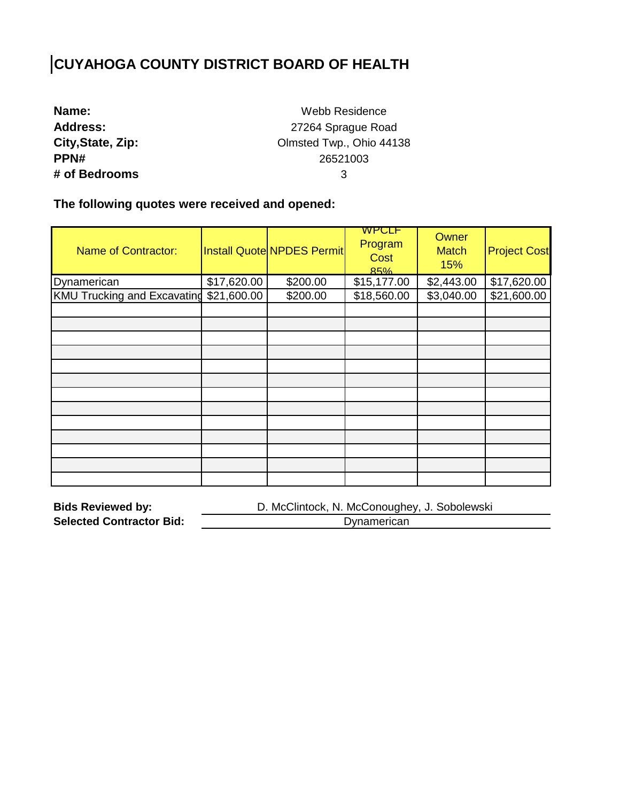| Name:             |
|-------------------|
| <b>Address:</b>   |
| City, State, Zip: |
| PPN#              |
| # of Bedrooms     |

Webb Residence 27264 Sprague Road Olmsted Twp., Ohio 44138 26521003 3

**The following quotes were received and opened:** 

| <b>Name of Contractor:</b>              |             | <b>Install Quote NPDES Permit</b> | <b>WPCLF</b><br>Program<br>Cost<br>85% | Owner<br><b>Match</b><br>15% | <b>Project Cost</b> |
|-----------------------------------------|-------------|-----------------------------------|----------------------------------------|------------------------------|---------------------|
| Dynamerican                             | \$17,620.00 | \$200.00                          | \$15,177.00                            | \$2,443.00                   | \$17,620.00         |
| KMU Trucking and Excavating \$21,600.00 |             | \$200.00                          | \$18,560.00                            | \$3,040.00                   | \$21,600.00         |
|                                         |             |                                   |                                        |                              |                     |
|                                         |             |                                   |                                        |                              |                     |
|                                         |             |                                   |                                        |                              |                     |
|                                         |             |                                   |                                        |                              |                     |
|                                         |             |                                   |                                        |                              |                     |
|                                         |             |                                   |                                        |                              |                     |
|                                         |             |                                   |                                        |                              |                     |
|                                         |             |                                   |                                        |                              |                     |
|                                         |             |                                   |                                        |                              |                     |
|                                         |             |                                   |                                        |                              |                     |
|                                         |             |                                   |                                        |                              |                     |
|                                         |             |                                   |                                        |                              |                     |
|                                         |             |                                   |                                        |                              |                     |

| <b>Bids Reviewed by:</b>        | D. McClintock, N. McConoughey, J. Sobolewski |
|---------------------------------|----------------------------------------------|
| <b>Selected Contractor Bid:</b> | Dynamerican                                  |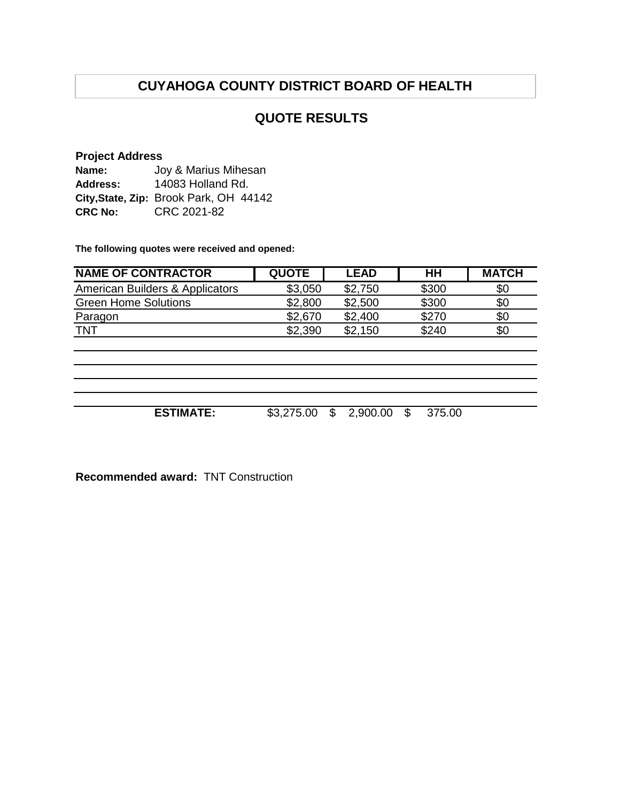#### **QUOTE RESULTS**

#### **Project Address**

| Name:           | Joy & Marius Mihesan                   |
|-----------------|----------------------------------------|
| <b>Address:</b> | 14083 Holland Rd.                      |
|                 | City, State, Zip: Brook Park, OH 44142 |
| <b>CRC No:</b>  | CRC 2021-82                            |

**The following quotes were received and opened:**

| <b>NAME OF CONTRACTOR</b>       | <b>QUOTE</b> | <b>LEAD</b>    | HH           | <b>MATCH</b> |
|---------------------------------|--------------|----------------|--------------|--------------|
| American Builders & Applicators | \$3,050      | \$2,750        | \$300        | \$0          |
| <b>Green Home Solutions</b>     | \$2,800      | \$2,500        | \$300        | \$0          |
| Paragon                         | \$2,670      | \$2,400        | \$270        | \$0          |
| <b>TNT</b>                      | \$2,390      | \$2,150        | \$240        | \$0          |
|                                 |              |                |              |              |
|                                 |              |                |              |              |
|                                 |              |                |              |              |
|                                 |              |                |              |              |
|                                 |              |                |              |              |
| <b>ESTIMATE:</b>                | \$3,275.00   | \$<br>2,900.00 | \$<br>375.00 |              |
|                                 |              |                |              |              |

**Recommended award:** TNT Construction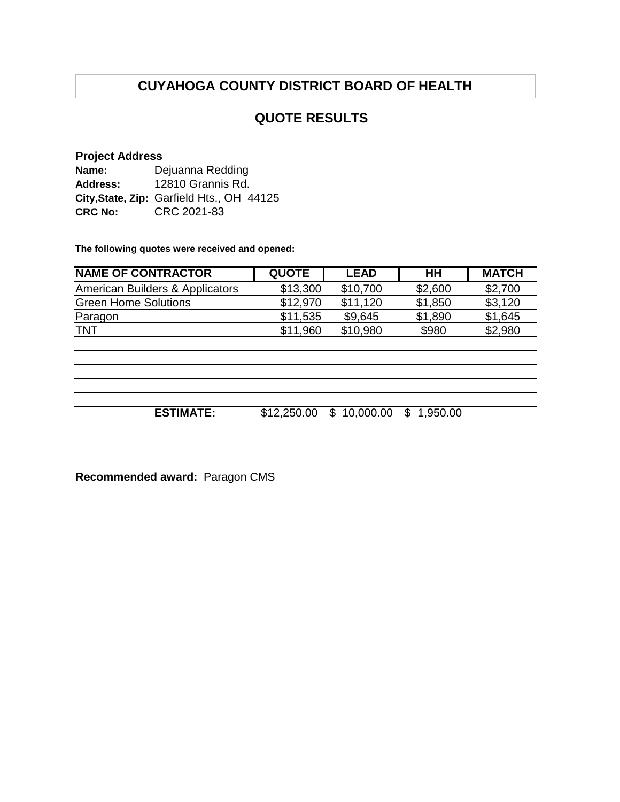#### **QUOTE RESULTS**

#### **Project Address**

| Name:          | Dejuanna Redding                          |
|----------------|-------------------------------------------|
| Address:       | 12810 Grannis Rd.                         |
|                | City, State, Zip: Garfield Hts., OH 44125 |
| <b>CRC No:</b> | CRC 2021-83                               |

**The following quotes were received and opened:**

| <b>NAME OF CONTRACTOR</b>       | <b>QUOTE</b> | <b>LEAD</b> | HН      | <b>MATCH</b> |
|---------------------------------|--------------|-------------|---------|--------------|
| American Builders & Applicators | \$13,300     | \$10,700    | \$2,600 | \$2,700      |
| <b>Green Home Solutions</b>     | \$12.970     | \$11.120    | \$1,850 | \$3,120      |
| Paragon                         | \$11,535     | \$9.645     | \$1,890 | \$1,645      |
| TNT                             | \$11.960     | \$10.980    | \$980   | \$2,980      |

**ESTIMATE:** \$12,250.00 \$ 10,000.00 \$ 1,950.00

**Recommended award:** Paragon CMS